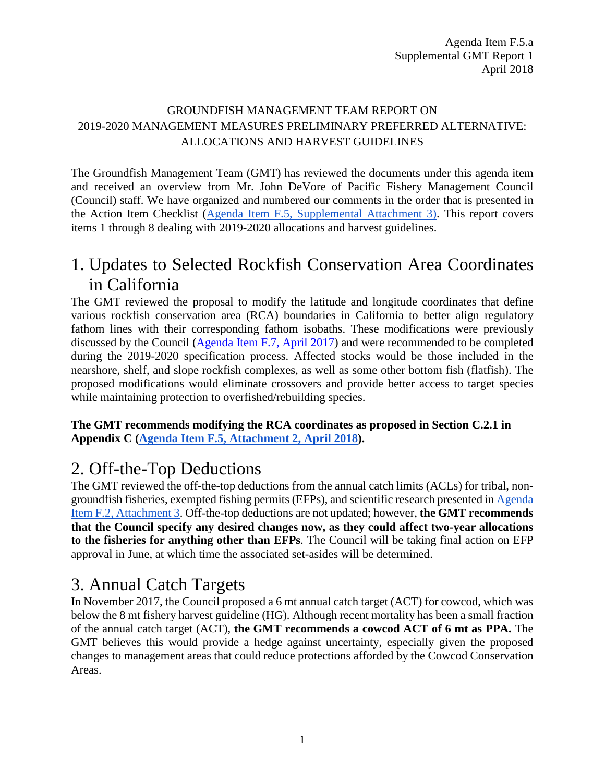#### GROUNDFISH MANAGEMENT TEAM REPORT ON 2019-2020 MANAGEMENT MEASURES PRELIMINARY PREFERRED ALTERNATIVE: ALLOCATIONS AND HARVEST GUIDELINES

The Groundfish Management Team (GMT) has reviewed the documents under this agenda item and received an overview from Mr. John DeVore of Pacific Fishery Management Council (Council) staff. We have organized and numbered our comments in the order that is presented in the Action Item Checklist (Agenda Item F.5, [Supplemental Attachment 3\)](https://www.pcouncil.org/wp-content/uploads/2018/04/F5_Supp_Att3_FinalChecklist_Apr2018BB.pdf). This report covers items 1 through 8 dealing with 2019-2020 allocations and harvest guidelines.

# 1. Updates to Selected Rockfish Conservation Area Coordinates in California

The GMT reviewed the proposal to modify the latitude and longitude coordinates that define various rockfish conservation area (RCA) boundaries in California to better align regulatory fathom lines with their corresponding fathom isobaths. These modifications were previously discussed by the Council [\(Agenda Item F.7, April 2017\)](http://www.pcouncil.org/wp-content/uploads/2017/03/F7a_CDFW_Rpt_Apr2017BB.pdf) and were recommended to be completed during the 2019-2020 specification process. Affected stocks would be those included in the nearshore, shelf, and slope rockfish complexes, as well as some other bottom fish (flatfish). The proposed modifications would eliminate crossovers and provide better access to target species while maintaining protection to overfished/rebuilding species.

**The GMT recommends modifying the RCA coordinates as proposed in Section C.2.1 in Appendix C [\(Agenda Item F.5, Attachment 2, April 2018\)](https://www.pcouncil.org/wp-content/uploads/2018/03/F5_Att2_Appendix_C_New_Management_Measures_1804_Apr2018BB.pdf).**

# 2. Off-the-Top Deductions

The GMT reviewed the off-the-top deductions from the annual catch limits (ACLs) for tribal, nongroundfish fisheries, exempted fishing permits (EFPs), and scientific research presented i[n Agenda](https://www.pcouncil.org/wp-content/uploads/2018/03/F2_Att3_Appdx_A_Integrated_Alternatives_Analysis_1804_Apr2018BB.pdf)  [Item F.2, Attachment 3.](https://www.pcouncil.org/wp-content/uploads/2018/03/F2_Att3_Appdx_A_Integrated_Alternatives_Analysis_1804_Apr2018BB.pdf) Off-the-top deductions are not updated; however, **the GMT recommends that the Council specify any desired changes now, as they could affect two-year allocations to the fisheries for anything other than EFPs**. The Council will be taking final action on EFP approval in June, at which time the associated set-asides will be determined.

# 3. Annual Catch Targets

In November 2017, the Council proposed a 6 mt annual catch target (ACT) for cowcod, which was below the 8 mt fishery harvest guideline (HG). Although recent mortality has been a small fraction of the annual catch target (ACT), **the GMT recommends a cowcod ACT of 6 mt as PPA.** The GMT believes this would provide a hedge against uncertainty, especially given the proposed changes to management areas that could reduce protections afforded by the Cowcod Conservation Areas.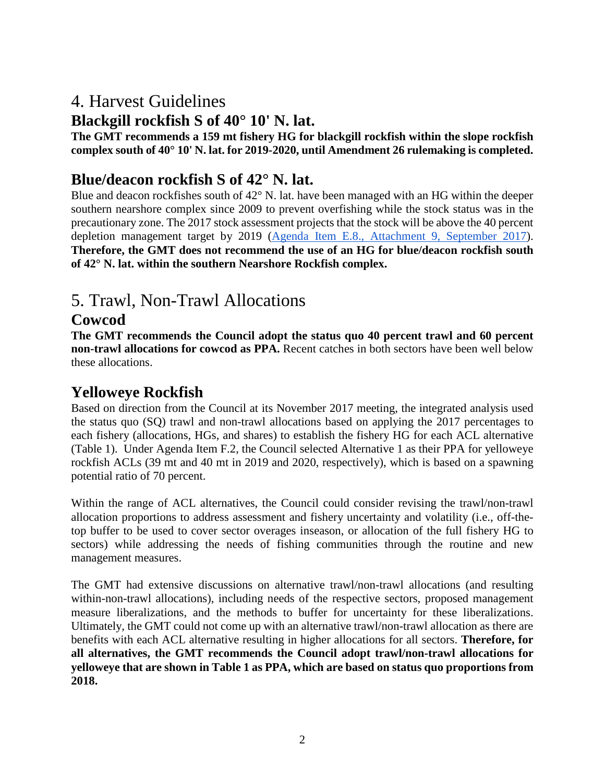## 4. Harvest Guidelines

### **Blackgill rockfish S of 40° 10' N. lat.**

**The GMT recommends a 159 mt fishery HG for blackgill rockfish within the slope rockfish complex south of 40° 10' N. lat. for 2019-2020, until Amendment 26 rulemaking is completed.** 

## **Blue/deacon rockfish S of 42° N. lat.**

Blue and deacon rockfishes south of 42° N. lat. have been managed with an HG within the deeper southern nearshore complex since 2009 to prevent overfishing while the stock status was in the precautionary zone. The 2017 stock assessment projects that the stock will be above the 40 percent depletion management target by 2019 [\(Agenda Item E.8., Attachment 9, September 2017\)](http://www.pcouncil.org/wp-content/uploads/2017/08/E8_Att9_BlueDeacon_FullDoc_E-Only_SEPT2017BB.pdf). **Therefore, the GMT does not recommend the use of an HG for blue/deacon rockfish south of 42° N. lat. within the southern Nearshore Rockfish complex.** 

# 5. Trawl, Non-Trawl Allocations

## **Cowcod**

**The GMT recommends the Council adopt the status quo 40 percent trawl and 60 percent non-trawl allocations for cowcod as PPA.** Recent catches in both sectors have been well below these allocations.

### **Yelloweye Rockfish**

Based on direction from the Council at its November 2017 meeting, the integrated analysis used the status quo (SQ) trawl and non-trawl allocations based on applying the 2017 percentages to each fishery (allocations, HGs, and shares) to establish the fishery HG for each ACL alternative [\(Table 1\)](#page-2-0). Under Agenda Item F.2, the Council selected Alternative 1 as their PPA for yelloweye rockfish ACLs (39 mt and 40 mt in 2019 and 2020, respectively), which is based on a spawning potential ratio of 70 percent.

Within the range of ACL alternatives, the Council could consider revising the trawl/non-trawl allocation proportions to address assessment and fishery uncertainty and volatility (i.e., off-thetop buffer to be used to cover sector overages inseason, or allocation of the full fishery HG to sectors) while addressing the needs of fishing communities through the routine and new management measures.

The GMT had extensive discussions on alternative trawl/non-trawl allocations (and resulting within-non-trawl allocations), including needs of the respective sectors, proposed management measure liberalizations, and the methods to buffer for uncertainty for these liberalizations. Ultimately, the GMT could not come up with an alternative trawl/non-trawl allocation as there are benefits with each ACL alternative resulting in higher allocations for all sectors. **Therefore, for all alternatives, the GMT recommends the Council adopt trawl/non-trawl allocations for yelloweye that are shown in Table 1 as PPA, which are based on status quo proportions from 2018.**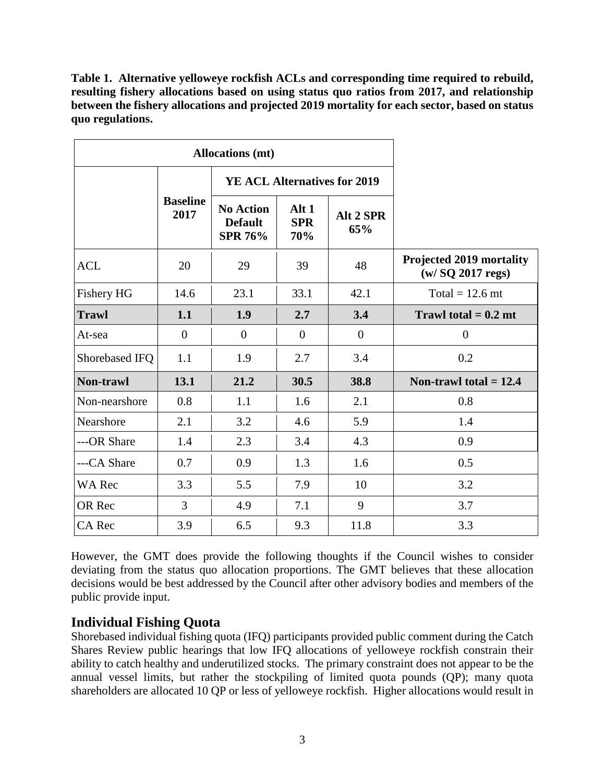<span id="page-2-0"></span>**Table 1. Alternative yelloweye rockfish ACLs and corresponding time required to rebuild, resulting fishery allocations based on using status quo ratios from 2017, and relationship between the fishery allocations and projected 2019 mortality for each sector, based on status quo regulations.** 

|                   | <b>Allocations</b> (mt) |                                                      |                                       |                  |                                                         |
|-------------------|-------------------------|------------------------------------------------------|---------------------------------------|------------------|---------------------------------------------------------|
|                   | <b>Baseline</b><br>2017 | <b>YE ACL Alternatives for 2019</b>                  |                                       |                  |                                                         |
|                   |                         | <b>No Action</b><br><b>Default</b><br><b>SPR 76%</b> | Alt <sub>1</sub><br><b>SPR</b><br>70% | Alt 2 SPR<br>65% |                                                         |
| <b>ACL</b>        | 20                      | 29                                                   | 39                                    | 48               | <b>Projected 2019 mortality</b><br>$(w / SQ$ 2017 regs) |
| <b>Fishery HG</b> | 14.6                    | 23.1                                                 | 33.1                                  | 42.1             | Total = $12.6$ mt                                       |
| <b>Trawl</b>      | 1.1                     | 1.9                                                  | 2.7                                   | 3.4              | Trawl total $= 0.2$ mt                                  |
| At-sea            | $\overline{0}$          | $\overline{0}$                                       | $\overline{0}$                        | $\overline{0}$   | $\overline{0}$                                          |
| Shorebased IFQ    | 1.1                     | 1.9                                                  | 2.7                                   | 3.4              | 0.2                                                     |
| Non-trawl         | 13.1                    | 21.2                                                 | 30.5                                  | 38.8             | Non-trawl total $= 12.4$                                |
| Non-nearshore     | 0.8                     | 1.1                                                  | 1.6                                   | 2.1              | 0.8                                                     |
| Nearshore         | 2.1                     | 3.2                                                  | 4.6                                   | 5.9              | 1.4                                                     |
| ---OR Share       | 1.4                     | 2.3                                                  | 3.4                                   | 4.3              | 0.9                                                     |
| ---CA Share       | 0.7                     | 0.9                                                  | 1.3                                   | 1.6              | 0.5                                                     |
| <b>WA Rec</b>     | 3.3                     | 5.5                                                  | 7.9                                   | 10               | 3.2                                                     |
| OR Rec            | 3                       | 4.9                                                  | 7.1                                   | 9                | 3.7                                                     |
| <b>CA</b> Rec     | 3.9                     | 6.5                                                  | 9.3                                   | 11.8             | 3.3                                                     |

However, the GMT does provide the following thoughts if the Council wishes to consider deviating from the status quo allocation proportions. The GMT believes that these allocation decisions would be best addressed by the Council after other advisory bodies and members of the public provide input.

#### **Individual Fishing Quota**

Shorebased individual fishing quota (IFQ) participants provided public comment during the Catch Shares Review public hearings that low IFQ allocations of yelloweye rockfish constrain their ability to catch healthy and underutilized stocks. The primary constraint does not appear to be the annual vessel limits, but rather the stockpiling of limited quota pounds (QP); many quota shareholders are allocated 10 QP or less of yelloweye rockfish. Higher allocations would result in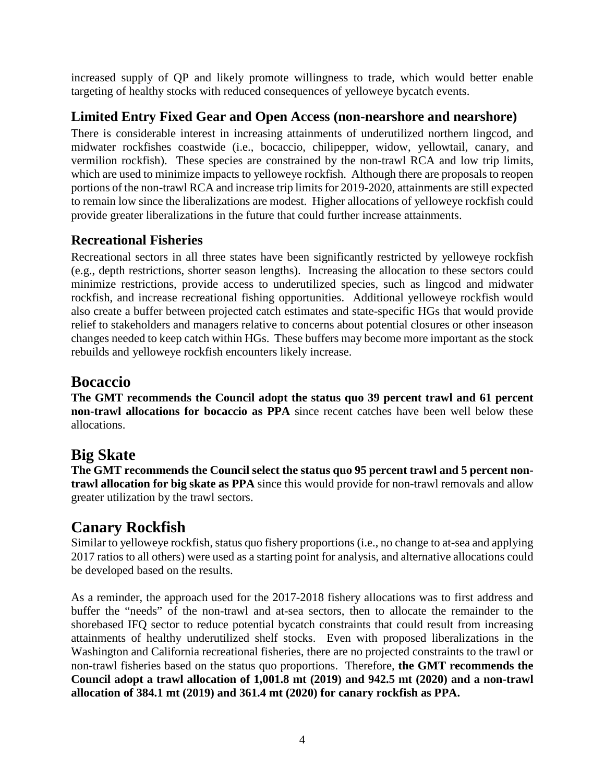increased supply of QP and likely promote willingness to trade, which would better enable targeting of healthy stocks with reduced consequences of yelloweye bycatch events.

### **Limited Entry Fixed Gear and Open Access (non-nearshore and nearshore)**

There is considerable interest in increasing attainments of underutilized northern lingcod, and midwater rockfishes coastwide (i.e., bocaccio, chilipepper, widow, yellowtail, canary, and vermilion rockfish). These species are constrained by the non-trawl RCA and low trip limits, which are used to minimize impacts to yelloweye rockfish. Although there are proposals to reopen portions of the non-trawl RCA and increase trip limits for 2019-2020, attainments are still expected to remain low since the liberalizations are modest. Higher allocations of yelloweye rockfish could provide greater liberalizations in the future that could further increase attainments.

### **Recreational Fisheries**

Recreational sectors in all three states have been significantly restricted by yelloweye rockfish (e.g., depth restrictions, shorter season lengths). Increasing the allocation to these sectors could minimize restrictions, provide access to underutilized species, such as lingcod and midwater rockfish, and increase recreational fishing opportunities. Additional yelloweye rockfish would also create a buffer between projected catch estimates and state-specific HGs that would provide relief to stakeholders and managers relative to concerns about potential closures or other inseason changes needed to keep catch within HGs. These buffers may become more important as the stock rebuilds and yelloweye rockfish encounters likely increase.

## **Bocaccio**

**The GMT recommends the Council adopt the status quo 39 percent trawl and 61 percent non-trawl allocations for bocaccio as PPA** since recent catches have been well below these allocations.

## **Big Skate**

**The GMT recommends the Council select the status quo 95 percent trawl and 5 percent nontrawl allocation for big skate as PPA** since this would provide for non-trawl removals and allow greater utilization by the trawl sectors.

## **Canary Rockfish**

Similar to yelloweye rockfish, status quo fishery proportions (i.e., no change to at-sea and applying 2017 ratios to all others) were used as a starting point for analysis, and alternative allocations could be developed based on the results.

As a reminder, the approach used for the 2017-2018 fishery allocations was to first address and buffer the "needs" of the non-trawl and at-sea sectors, then to allocate the remainder to the shorebased IFQ sector to reduce potential bycatch constraints that could result from increasing attainments of healthy underutilized shelf stocks. Even with proposed liberalizations in the Washington and California recreational fisheries, there are no projected constraints to the trawl or non-trawl fisheries based on the status quo proportions. Therefore, **the GMT recommends the Council adopt a trawl allocation of 1,001.8 mt (2019) and 942.5 mt (2020) and a non-trawl allocation of 384.1 mt (2019) and 361.4 mt (2020) for canary rockfish as PPA.**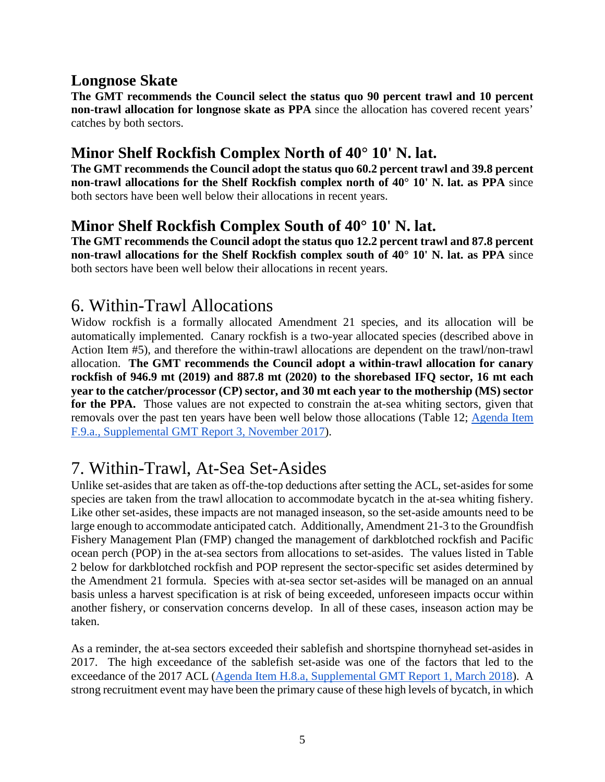## **Longnose Skate**

**The GMT recommends the Council select the status quo 90 percent trawl and 10 percent non-trawl allocation for longnose skate as PPA** since the allocation has covered recent years' catches by both sectors.

## **Minor Shelf Rockfish Complex North of 40° 10' N. lat.**

**The GMT recommends the Council adopt the status quo 60.2 percent trawl and 39.8 percent non-trawl allocations for the Shelf Rockfish complex north of 40° 10' N. lat. as PPA** since both sectors have been well below their allocations in recent years.

## **Minor Shelf Rockfish Complex South of 40° 10' N. lat.**

**The GMT recommends the Council adopt the status quo 12.2 percent trawl and 87.8 percent non-trawl allocations for the Shelf Rockfish complex south of 40° 10' N. lat. as PPA** since both sectors have been well below their allocations in recent years.

## 6. Within-Trawl Allocations

Widow rockfish is a formally allocated Amendment 21 species, and its allocation will be automatically implemented. Canary rockfish is a two-year allocated species (described above in Action Item #5), and therefore the within-trawl allocations are dependent on the trawl/non-trawl allocation. **The GMT recommends the Council adopt a within-trawl allocation for canary rockfish of 946.9 mt (2019) and 887.8 mt (2020) to the shorebased IFQ sector, 16 mt each year to the catcher/processor (CP) sector, and 30 mt each year to the mothership (MS) sector for the PPA.** Those values are not expected to constrain the at-sea whiting sectors, given that removals over the past ten years have been well below those allocations (Table 12; [Agenda Item](https://www.pcouncil.org/wp-content/uploads/2017/11/F9a_Sup_GMT_Rpt3_NOV2017BB.pdf)  [F.9.a., Supplemental GMT Report 3, November 2017\)](https://www.pcouncil.org/wp-content/uploads/2017/11/F9a_Sup_GMT_Rpt3_NOV2017BB.pdf).

# 7. Within-Trawl, At-Sea Set-Asides

Unlike set-asides that are taken as off-the-top deductions after setting the ACL, set-asides for some species are taken from the trawl allocation to accommodate bycatch in the at-sea whiting fishery. Like other set-asides, these impacts are not managed inseason, so the set-aside amounts need to be large enough to accommodate anticipated catch. Additionally, Amendment 21-3 to the Groundfish Fishery Management Plan (FMP) changed the management of darkblotched rockfish and Pacific ocean perch (POP) in the at-sea sectors from allocations to set-asides. The values listed in [Table](#page-6-0) [2](#page-6-0) below for darkblotched rockfish and POP represent the sector-specific set asides determined by the Amendment 21 formula. Species with at-sea sector set-asides will be managed on an annual basis unless a harvest specification is at risk of being exceeded, unforeseen impacts occur within another fishery, or conservation concerns develop. In all of these cases, inseason action may be taken.

As a reminder, the at-sea sectors exceeded their sablefish and shortspine thornyhead set-asides in 2017. The high exceedance of the sablefish set-aside was one of the factors that led to the exceedance of the 2017 ACL [\(Agenda Item H.8.a, Supplemental GMT Report 1, March 2018\)](https://www.pcouncil.org/wp-content/uploads/2018/03/H8a_Sup_GMT_Rpt1_Mar2018BB.pdf). A strong recruitment event may have been the primary cause of these high levels of bycatch, in which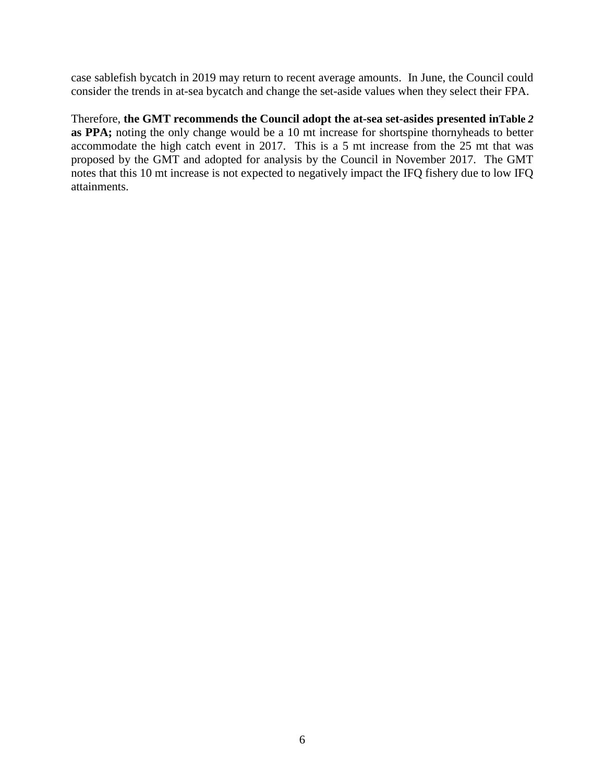case sablefish bycatch in 2019 may return to recent average amounts. In June, the Council could consider the trends in at-sea bycatch and change the set-aside values when they select their FPA.

Therefore, **the GMT recommends the Council adopt the at-sea set-asides presented i[nTable](#page-6-0)** *2* **as PPA;** noting the only change would be a 10 mt increase for shortspine thornyheads to better accommodate the high catch event in 2017. This is a 5 mt increase from the 25 mt that was proposed by the GMT and adopted for analysis by the Council in November 2017. The GMT notes that this 10 mt increase is not expected to negatively impact the IFQ fishery due to low IFQ attainments.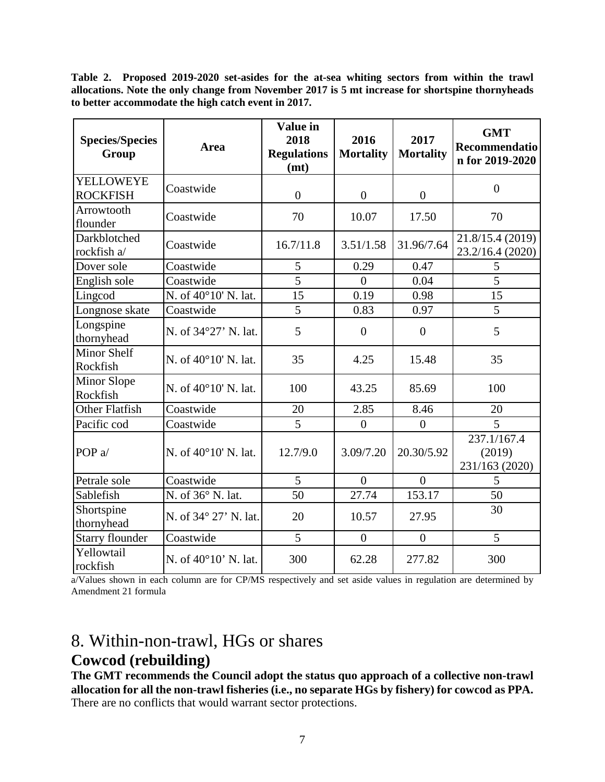<span id="page-6-0"></span>**Table 2. Proposed 2019-2020 set-asides for the at-sea whiting sectors from within the trawl allocations. Note the only change from November 2017 is 5 mt increase for shortspine thornyheads to better accommodate the high catch event in 2017.**

| <b>Species/Species</b><br>Group                | Area                          | <b>Value in</b><br>2018<br><b>Regulations</b><br>(mt) | 2016<br><b>Mortality</b> | 2017<br><b>Mortality</b> | <b>GMT</b><br>Recommendatio<br>n for 2019-2020 |
|------------------------------------------------|-------------------------------|-------------------------------------------------------|--------------------------|--------------------------|------------------------------------------------|
| YELLOWEYE<br><b>ROCKFISH</b>                   | Coastwide                     | $\overline{0}$                                        | $\overline{0}$           | $\boldsymbol{0}$         | $\boldsymbol{0}$                               |
| Arrowtooth<br>flounder                         | Coastwide                     | 70                                                    | 10.07                    | 17.50                    | 70                                             |
| Darkblotched<br>rockfish a/                    | Coastwide                     | 16.7/11.8                                             | 3.51/1.58                | 31.96/7.64               | 21.8/15.4 (2019)<br>23.2/16.4 (2020)           |
| Dover sole                                     | Coastwide                     | 5                                                     | 0.29                     | 0.47                     | 5                                              |
| English sole                                   | Coastwide                     | $\overline{5}$                                        | $\overline{0}$           | 0.04                     | $\overline{5}$                                 |
| Lingcod                                        | N. of 40°10' N. lat.          | 15                                                    | 0.19                     | 0.98                     | 15                                             |
| Longnose skate                                 | Coastwide                     | $\overline{5}$                                        | 0.83                     | 0.97                     | $\overline{5}$                                 |
| Longspine<br>thornyhead                        | N. of 34°27' N. lat.          | 5                                                     | $\overline{0}$           | $\overline{0}$           | 5                                              |
| Minor Shelf<br>Rockfish                        | N. of $40^{\circ}10'$ N. lat. | 35                                                    | 4.25                     | 15.48                    | 35                                             |
| <b>Minor Slope</b><br>Rockfish                 | N. of 40°10' N. lat.          | 100                                                   | 43.25                    | 85.69                    | 100                                            |
| Other Flatfish                                 | Coastwide                     | 20                                                    | 2.85                     | 8.46                     | 20                                             |
| Pacific cod                                    | Coastwide                     | 5                                                     | $\overline{0}$           | $\overline{0}$           | 5                                              |
| POP <sub>a</sub> /                             | N. of 40°10' N. lat.          | 12.7/9.0                                              | 3.09/7.20                | 20.30/5.92               | 237.1/167.4<br>(2019)<br>231/163 (2020)        |
| Petrale sole                                   | Coastwide                     | $\overline{5}$                                        | $\theta$                 | $\theta$                 | 5                                              |
| Sablefish                                      | N. of 36° N. lat.             | 50                                                    | 27.74                    | 153.17                   | 50                                             |
| Shortspine<br>thornyhead                       | N. of 34° 27' N. lat.         | 20                                                    | 10.57                    | 27.95                    | 30                                             |
| <b>Starry flounder</b>                         | Coastwide                     | 5                                                     | $\boldsymbol{0}$         | $\overline{0}$           | 5                                              |
| Yellowtail<br>N. of 40°10' N. lat.<br>rockfish |                               | 300                                                   | 62.28                    | 277.82                   | 300                                            |

a/Values shown in each column are for CP/MS respectively and set aside values in regulation are determined by Amendment 21 formula

## 8. Within-non-trawl, HGs or shares **Cowcod (rebuilding)**

**The GMT recommends the Council adopt the status quo approach of a collective non-trawl allocation for all the non-trawl fisheries (i.e., no separate HGs by fishery) for cowcod as PPA.**  There are no conflicts that would warrant sector protections.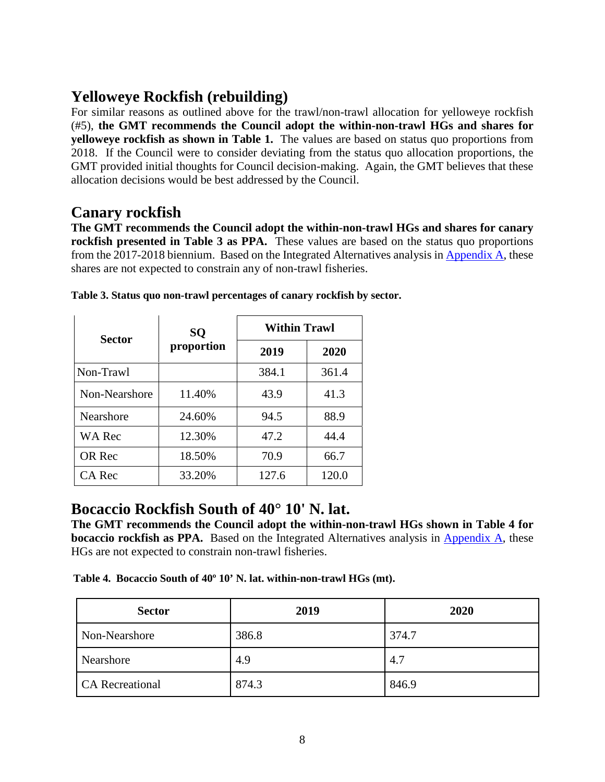## **Yelloweye Rockfish (rebuilding)**

For similar reasons as outlined above for the trawl/non-trawl allocation for yelloweye rockfish (#5), **the GMT recommends the Council adopt the within-non-trawl HGs and shares for yelloweye rockfish as shown in [Table 1.](#page-2-0)** The values are based on status quo proportions from 2018. If the Council were to consider deviating from the status quo allocation proportions, the GMT provided initial thoughts for Council decision-making. Again, the GMT believes that these allocation decisions would be best addressed by the Council.

### **Canary rockfish**

**The GMT recommends the Council adopt the within-non-trawl HGs and shares for canary rockfish presented in [Table 3](#page-7-0) as PPA.** These values are based on the status quo proportions from the 2017-2018 biennium. Based on the Integrated Alternatives analysis in [Appendix A,](https://www.pcouncil.org/wp-content/uploads/2018/03/F2_Att3_Appdx_A_Integrated_Alternatives_Analysis_1804_Apr2018BB.pdf) these shares are not expected to constrain any of non-trawl fisheries.

| <b>Sector</b>    | SQ         | <b>Within Trawl</b> |       |  |
|------------------|------------|---------------------|-------|--|
|                  | proportion | 2019                | 2020  |  |
| Non-Trawl        |            | 384.1               | 361.4 |  |
| Non-Nearshore    | 11.40%     | 43.9                | 41.3  |  |
| <b>Nearshore</b> | 24.60%     | 94.5                | 88.9  |  |
| <b>WA Rec</b>    | 12.30%     | 47.2                | 44.4  |  |
| OR Rec           | 18.50%     | 70.9                | 66.7  |  |
| CA Rec           | 33.20%     | 127.6               | 120.0 |  |

<span id="page-7-0"></span>

## **Bocaccio Rockfish South of 40° 10' N. lat.**

**The GMT recommends the Council adopt the within-non-trawl HGs shown in [Table 4](#page-7-1) for bocaccio rockfish as PPA.** Based on the Integrated Alternatives analysis in [Appendix A,](https://www.pcouncil.org/wp-content/uploads/2018/03/F2_Att3_Appdx_A_Integrated_Alternatives_Analysis_1804_Apr2018BB.pdf) these HGs are not expected to constrain non-trawl fisheries.

<span id="page-7-1"></span>**Table 4. Bocaccio South of 40º 10' N. lat. within-non-trawl HGs (mt).**

| <b>Sector</b>          | 2019  | 2020  |
|------------------------|-------|-------|
| Non-Nearshore          | 386.8 | 374.7 |
| Nearshore              | 4.9   | 4.7   |
| <b>CA</b> Recreational | 874.3 | 846.9 |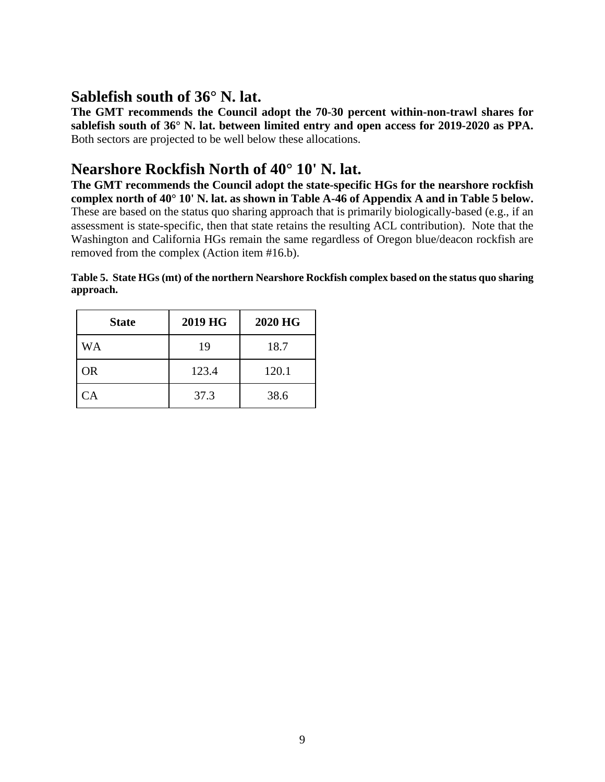## **Sablefish south of 36° N. lat.**

**The GMT recommends the Council adopt the 70-30 percent within-non-trawl shares for sablefish south of 36° N. lat. between limited entry and open access for 2019-2020 as PPA.**  Both sectors are projected to be well below these allocations.

## **Nearshore Rockfish North of 40° 10' N. lat.**

**The GMT recommends the Council adopt the state-specific HGs for the nearshore rockfish complex north of 40° 10' N. lat. as shown in Table A-46 of Appendix A and in [Table 5](#page-8-0) below.**  These are based on the status quo sharing approach that is primarily biologically-based (e.g., if an assessment is state-specific, then that state retains the resulting ACL contribution). Note that the Washington and California HGs remain the same regardless of Oregon blue/deacon rockfish are removed from the complex (Action item #16.b).

| <b>State</b> | 2019 HG | 2020 HG |
|--------------|---------|---------|
| WA           | 19      | 18.7    |
| <b>OR</b>    | 123.4   | 120.1   |
| CA           | 37.3    | 38.6    |

<span id="page-8-0"></span>**Table 5. State HGs (mt) of the northern Nearshore Rockfish complex based on the status quo sharing approach.**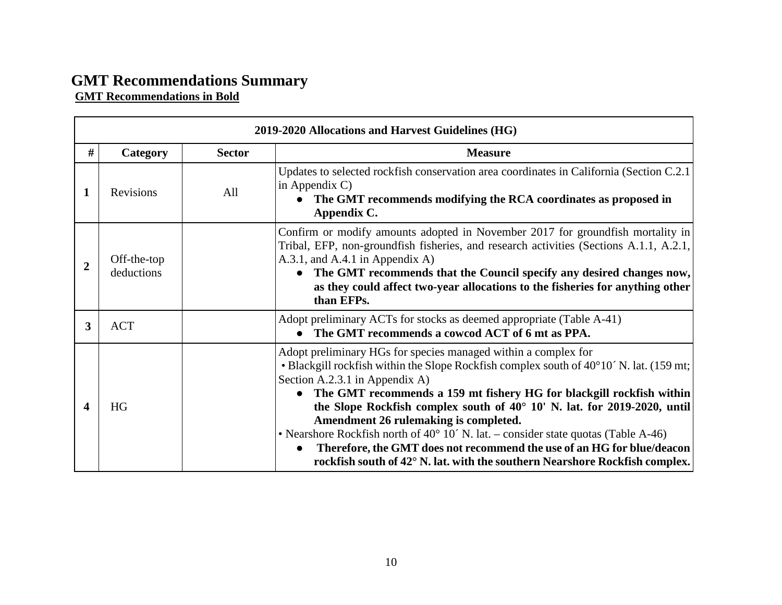#### **GMT Recommendations Summary GMT Recommendations in Bold**

| 2019-2020 Allocations and Harvest Guidelines (HG) |                           |               |                                                                                                                                                                                                                                                                                                                                                                                                                                                                                                                                                                                                                                                               |  |
|---------------------------------------------------|---------------------------|---------------|---------------------------------------------------------------------------------------------------------------------------------------------------------------------------------------------------------------------------------------------------------------------------------------------------------------------------------------------------------------------------------------------------------------------------------------------------------------------------------------------------------------------------------------------------------------------------------------------------------------------------------------------------------------|--|
| #                                                 | Category                  | <b>Sector</b> | <b>Measure</b>                                                                                                                                                                                                                                                                                                                                                                                                                                                                                                                                                                                                                                                |  |
| 1                                                 | <b>Revisions</b>          | All           | Updates to selected rockfish conservation area coordinates in California (Section C.2.1)<br>in Appendix $C$ )<br>The GMT recommends modifying the RCA coordinates as proposed in<br>$\bullet$<br>Appendix C.                                                                                                                                                                                                                                                                                                                                                                                                                                                  |  |
| 2                                                 | Off-the-top<br>deductions |               | Confirm or modify amounts adopted in November 2017 for groundfish mortality in<br>Tribal, EFP, non-groundfish fisheries, and research activities (Sections A.1.1, A.2.1,<br>A.3.1, and A.4.1 in Appendix A)<br>The GMT recommends that the Council specify any desired changes now,<br>as they could affect two-year allocations to the fisheries for anything other<br>than EFPs.                                                                                                                                                                                                                                                                            |  |
| 3                                                 | <b>ACT</b>                |               | Adopt preliminary ACTs for stocks as deemed appropriate (Table A-41)<br>The GMT recommends a cowcod ACT of 6 mt as PPA.<br>$\bullet$                                                                                                                                                                                                                                                                                                                                                                                                                                                                                                                          |  |
| 4                                                 | <b>HG</b>                 |               | Adopt preliminary HGs for species managed within a complex for<br>• Blackgill rockfish within the Slope Rockfish complex south of 40°10' N. lat. (159 mt;<br>Section A.2.3.1 in Appendix A)<br>The GMT recommends a 159 mt fishery HG for blackgill rockfish within<br>$\bullet$<br>the Slope Rockfish complex south of 40° 10' N. lat. for 2019-2020, until<br>Amendment 26 rulemaking is completed.<br>• Nearshore Rockfish north of $40^{\circ}$ 10' N. lat. – consider state quotas (Table A-46)<br>Therefore, the GMT does not recommend the use of an HG for blue/deacon<br>rockfish south of 42° N. lat. with the southern Nearshore Rockfish complex. |  |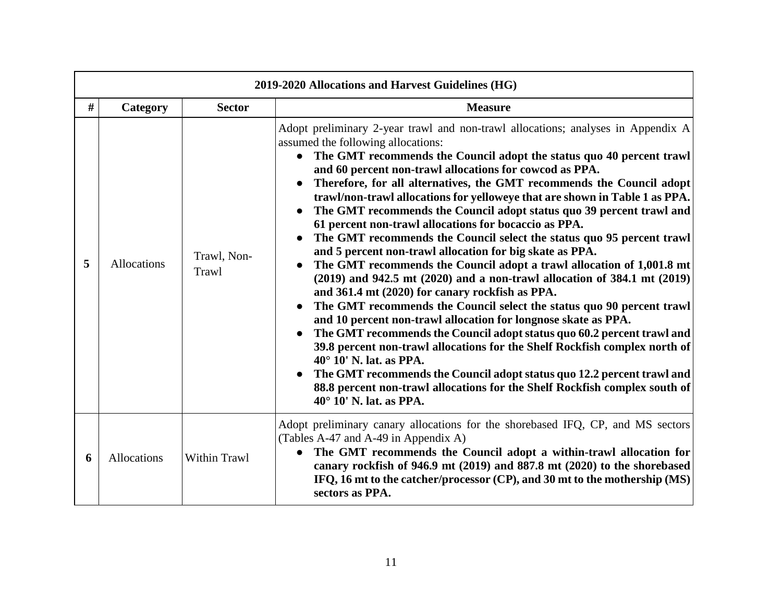| 2019-2020 Allocations and Harvest Guidelines (HG) |                    |                      |                                                                                                                                                                                                                                                                                                                                                                                                                                                                                                                                                                                                                                                                                                                                                                                                                                                                                                                                                                                                                                                                                                                                                                                                                                                                                                                                                                                                                                              |  |  |
|---------------------------------------------------|--------------------|----------------------|----------------------------------------------------------------------------------------------------------------------------------------------------------------------------------------------------------------------------------------------------------------------------------------------------------------------------------------------------------------------------------------------------------------------------------------------------------------------------------------------------------------------------------------------------------------------------------------------------------------------------------------------------------------------------------------------------------------------------------------------------------------------------------------------------------------------------------------------------------------------------------------------------------------------------------------------------------------------------------------------------------------------------------------------------------------------------------------------------------------------------------------------------------------------------------------------------------------------------------------------------------------------------------------------------------------------------------------------------------------------------------------------------------------------------------------------|--|--|
| #                                                 | Category           | <b>Sector</b>        | <b>Measure</b>                                                                                                                                                                                                                                                                                                                                                                                                                                                                                                                                                                                                                                                                                                                                                                                                                                                                                                                                                                                                                                                                                                                                                                                                                                                                                                                                                                                                                               |  |  |
| 5                                                 | <b>Allocations</b> | Trawl, Non-<br>Trawl | Adopt preliminary 2-year trawl and non-trawl allocations; analyses in Appendix A<br>assumed the following allocations:<br>The GMT recommends the Council adopt the status quo 40 percent trawl<br>$\bullet$<br>and 60 percent non-trawl allocations for cowcod as PPA.<br>Therefore, for all alternatives, the GMT recommends the Council adopt<br>trawl/non-trawl allocations for yelloweye that are shown in Table 1 as PPA.<br>The GMT recommends the Council adopt status quo 39 percent trawl and<br>61 percent non-trawl allocations for bocaccio as PPA.<br>The GMT recommends the Council select the status quo 95 percent trawl<br>and 5 percent non-trawl allocation for big skate as PPA.<br>The GMT recommends the Council adopt a trawl allocation of 1,001.8 mt<br>$(2019)$ and 942.5 mt $(2020)$ and a non-trawl allocation of 384.1 mt $(2019)$<br>and 361.4 mt (2020) for canary rockfish as PPA.<br>The GMT recommends the Council select the status quo 90 percent trawl<br>and 10 percent non-trawl allocation for longnose skate as PPA.<br>The GMT recommends the Council adopt status quo 60.2 percent trawl and<br>39.8 percent non-trawl allocations for the Shelf Rockfish complex north of<br>40° 10' N. lat. as PPA.<br>The GMT recommends the Council adopt status quo 12.2 percent trawl and<br>88.8 percent non-trawl allocations for the Shelf Rockfish complex south of<br>$40^{\circ}$ 10' N. lat. as PPA. |  |  |
| 6                                                 | <b>Allocations</b> | <b>Within Trawl</b>  | Adopt preliminary canary allocations for the shorebased IFQ, CP, and MS sectors<br>(Tables A-47 and A-49 in Appendix A)<br>The GMT recommends the Council adopt a within-trawl allocation for<br>$\bullet$<br>canary rockfish of 946.9 mt (2019) and 887.8 mt (2020) to the shorebased<br>IFQ, 16 mt to the catcher/processor (CP), and 30 mt to the mothership (MS)<br>sectors as PPA.                                                                                                                                                                                                                                                                                                                                                                                                                                                                                                                                                                                                                                                                                                                                                                                                                                                                                                                                                                                                                                                      |  |  |